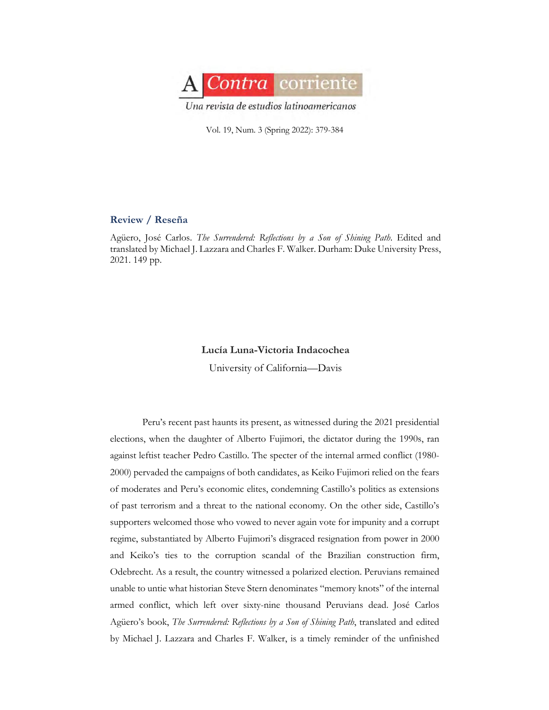

Vol. 19, Num. 3 (Spring 2022): 379-384

## **Review / Reseña**

Agüero, José Carlos. *The Surrendered: Reflections by a Son of Shining Path*. Edited and translated by Michael J. Lazzara and Charles F. Walker. Durham: Duke University Press, 2021. 149 pp.

## **Lucía Luna-Victoria Indacochea**

University of California—Davis

Peru's recent past haunts its present, as witnessed during the 2021 presidential elections, when the daughter of Alberto Fujimori, the dictator during the 1990s, ran against leftist teacher Pedro Castillo. The specter of the internal armed conflict (1980- 2000) pervaded the campaigns of both candidates, as Keiko Fujimori relied on the fears of moderates and Peru's economic elites, condemning Castillo's politics as extensions of past terrorism and a threat to the national economy. On the other side, Castillo's supporters welcomed those who vowed to never again vote for impunity and a corrupt regime, substantiated by Alberto Fujimori's disgraced resignation from power in 2000 and Keiko's ties to the corruption scandal of the Brazilian construction firm, Odebrecht. As a result, the country witnessed a polarized election. Peruvians remained unable to untie what historian Steve Stern denominates "memory knots" of the internal armed conflict, which left over sixty-nine thousand Peruvians dead. José Carlos Agüero's book, *The Surrendered: Reflections by a Son of Shining Path*, translated and edited by Michael J. Lazzara and Charles F. Walker, is a timely reminder of the unfinished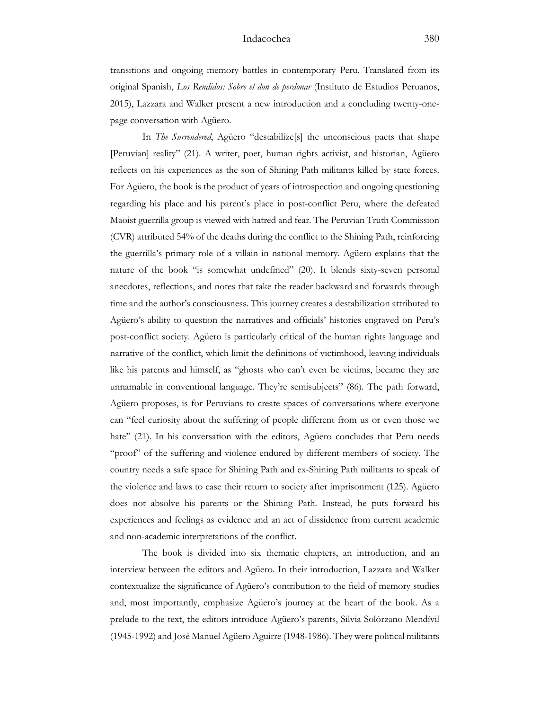transitions and ongoing memory battles in contemporary Peru. Translated from its original Spanish, *Los Rendidos: Sobre el don de perdonar* (Instituto de Estudios Peruanos, 2015), Lazzara and Walker present a new introduction and a concluding twenty-onepage conversation with Agüero.

In *The Surrendered*, Agüero "destabilize<sup>[s]</sup> the unconscious pacts that shape [Peruvian] reality" (21). A writer, poet, human rights activist, and historian, Agüero reflects on his experiences as the son of Shining Path militants killed by state forces. For Agüero, the book is the product of years of introspection and ongoing questioning regarding his place and his parent's place in post-conflict Peru, where the defeated Maoist guerrilla group is viewed with hatred and fear. The Peruvian Truth Commission (CVR) attributed 54% of the deaths during the conflict to the Shining Path, reinforcing the guerrilla's primary role of a villain in national memory. Agüero explains that the nature of the book "is somewhat undefined" (20). It blends sixty-seven personal anecdotes, reflections, and notes that take the reader backward and forwards through time and the author's consciousness. This journey creates a destabilization attributed to Agüero's ability to question the narratives and officials' histories engraved on Peru's post-conflict society. Agüero is particularly critical of the human rights language and narrative of the conflict, which limit the definitions of victimhood, leaving individuals like his parents and himself, as "ghosts who can't even be victims, became they are unnamable in conventional language. They're semisubjects" (86). The path forward, Agüero proposes, is for Peruvians to create spaces of conversations where everyone can "feel curiosity about the suffering of people different from us or even those we hate" (21). In his conversation with the editors, Agüero concludes that Peru needs "proof" of the suffering and violence endured by different members of society. The country needs a safe space for Shining Path and ex-Shining Path militants to speak of the violence and laws to ease their return to society after imprisonment (125). Agüero does not absolve his parents or the Shining Path. Instead, he puts forward his experiences and feelings as evidence and an act of dissidence from current academic and non-academic interpretations of the conflict.

The book is divided into six thematic chapters, an introduction, and an interview between the editors and Agüero. In their introduction, Lazzara and Walker contextualize the significance of Agüero's contribution to the field of memory studies and, most importantly, emphasize Agüero's journey at the heart of the book. As a prelude to the text, the editors introduce Agüero's parents, Silvia Solórzano Mendívil (1945-1992) and José Manuel Agüero Aguirre (1948-1986). They were political militants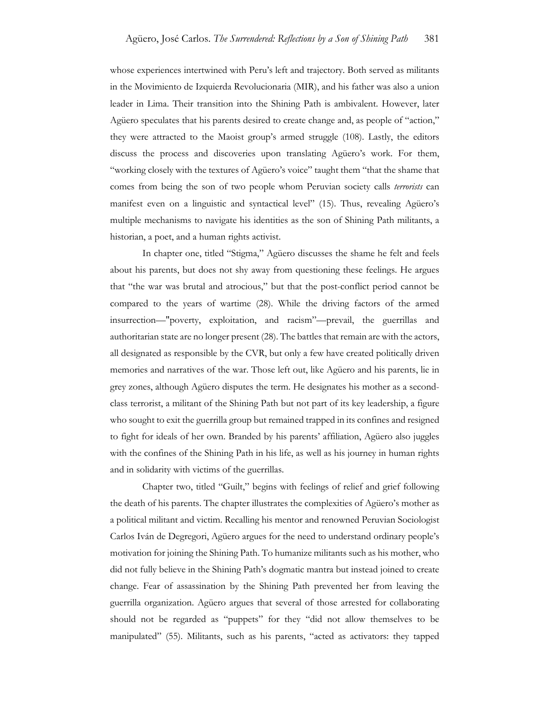whose experiences intertwined with Peru's left and trajectory. Both served as militants in the Movimiento de Izquierda Revolucionaria (MIR), and his father was also a union leader in Lima. Their transition into the Shining Path is ambivalent. However, later Agüero speculates that his parents desired to create change and, as people of "action," they were attracted to the Maoist group's armed struggle (108). Lastly, the editors discuss the process and discoveries upon translating Agüero's work. For them, "working closely with the textures of Agüero's voice" taught them "that the shame that comes from being the son of two people whom Peruvian society calls *terrorists* can manifest even on a linguistic and syntactical level" (15). Thus, revealing Agüero's multiple mechanisms to navigate his identities as the son of Shining Path militants, a historian, a poet, and a human rights activist.

In chapter one, titled "Stigma," Agüero discusses the shame he felt and feels about his parents, but does not shy away from questioning these feelings. He argues that "the war was brutal and atrocious," but that the post-conflict period cannot be compared to the years of wartime (28). While the driving factors of the armed insurrection—"poverty, exploitation, and racism"—prevail, the guerrillas and authoritarian state are no longer present (28). The battles that remain are with the actors, all designated as responsible by the CVR, but only a few have created politically driven memories and narratives of the war. Those left out, like Agüero and his parents, lie in grey zones, although Agüero disputes the term. He designates his mother as a secondclass terrorist, a militant of the Shining Path but not part of its key leadership, a figure who sought to exit the guerrilla group but remained trapped in its confines and resigned to fight for ideals of her own. Branded by his parents' affiliation, Agüero also juggles with the confines of the Shining Path in his life, as well as his journey in human rights and in solidarity with victims of the guerrillas.

Chapter two, titled "Guilt," begins with feelings of relief and grief following the death of his parents. The chapter illustrates the complexities of Agüero's mother as a political militant and victim. Recalling his mentor and renowned Peruvian Sociologist Carlos Iván de Degregori, Agüero argues for the need to understand ordinary people's motivation for joining the Shining Path. To humanize militants such as his mother, who did not fully believe in the Shining Path's dogmatic mantra but instead joined to create change. Fear of assassination by the Shining Path prevented her from leaving the guerrilla organization. Agüero argues that several of those arrested for collaborating should not be regarded as "puppets" for they "did not allow themselves to be manipulated" (55). Militants, such as his parents, "acted as activators: they tapped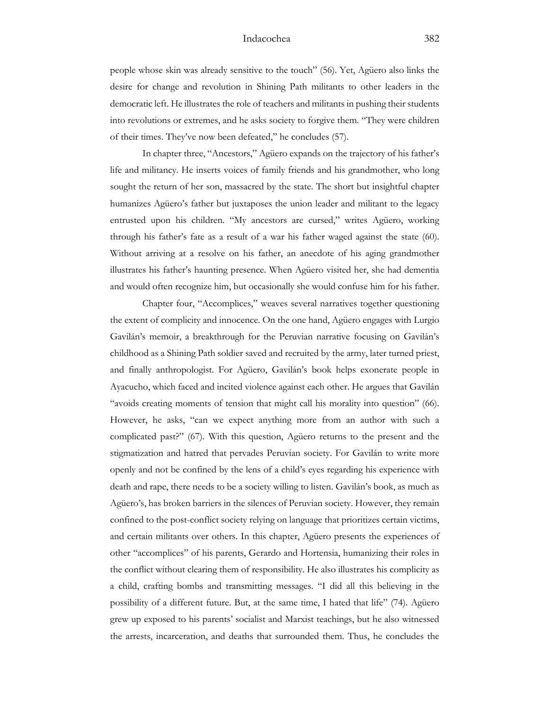people whose skin was already sensitive to the touch" (56). Yet, Agüero also links the desire for change and revolution in Shining Path militants to other leaders in the democratic left. He illustrates the role of teachers and militants in pushing their students into revolutions or extremes, and he asks society to forgive them. "They were children of their times. They've now been defeated," he concludes (57).

In chapter three, "Ancestors," Agüero expands on the trajectory of his father's life and militancy. He inserts voices of family friends and his grandmother, who long sought the return of her son, massacred by the state. The short but insightful chapter humanizes Agüero's father but juxtaposes the union leader and militant to the legacy entrusted upon his children. "My ancestors are cursed," writes Agüero, working through his father's fate as a result of a war his father waged against the state (60). Without arriving at a resolve on his father, an anecdote of his aging grandmother illustrates his father's haunting presence. When Agüero visited her, she had dementia and would often recognize him, but occasionally she would confuse him for his father.

Chapter four, "Accomplices," weaves several narratives together questioning the extent of complicity and innocence. On the one hand, Agüero engages with Lurgio Gavilán's memoir, a breakthrough for the Peruvian narrative focusing on Gavilán's childhood as a Shining Path soldier saved and recruited by the army, later turned priest, and finally anthropologist. For Agüero, Gavilán's book helps exonerate people in Ayacucho, which faced and incited violence against each other. He argues that Gavilán "avoids creating moments of tension that might call his morality into question" (66). However, he asks, "can we expect anything more from an author with such a complicated past?" (67). With this question, Agüero returns to the present and the stigmatization and hatred that pervades Peruvian society. For Gavilán to write more openly and not be confined by the lens of a child's eyes regarding his experience with death and rape, there needs to be a society willing to listen. Gavilán's book, as much as Agüero's, has broken barriers in the silences of Peruvian society. However, they remain confined to the post-conflict society relying on language that prioritizes certain victims, and certain militants over others. In this chapter, Agüero presents the experiences of other "accomplices" of his parents, Gerardo and Hortensia, humanizing their roles in the conflict without clearing them of responsibility. He also illustrates his complicity as a child, crafting bombs and transmitting messages. "I did all this believing in the possibility of a different future. But, at the same time, I hated that life" (74). Agüero grew up exposed to his parents' socialist and Marxist teachings, but he also witnessed the arrests, incarceration, and deaths that surrounded them. Thus, he concludes the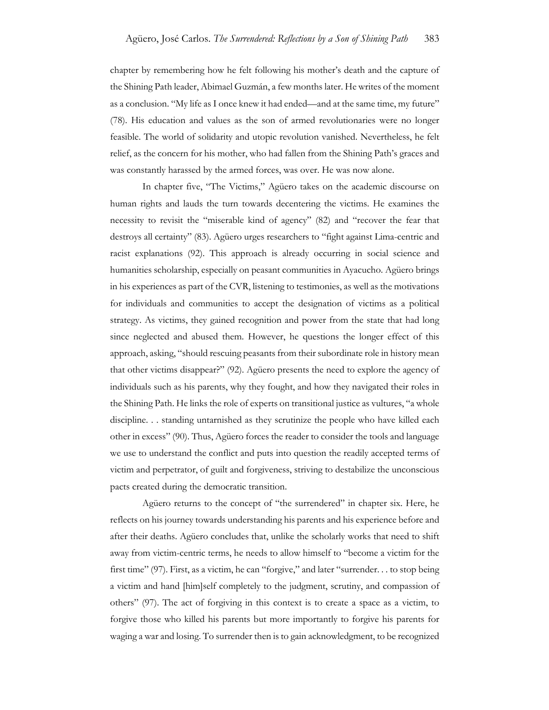chapter by remembering how he felt following his mother's death and the capture of the Shining Path leader, Abimael Guzmán, a few months later. He writes of the moment as a conclusion. "My life as I once knew it had ended—and at the same time, my future" (78). His education and values as the son of armed revolutionaries were no longer feasible. The world of solidarity and utopic revolution vanished. Nevertheless, he felt relief, as the concern for his mother, who had fallen from the Shining Path's graces and was constantly harassed by the armed forces, was over. He was now alone.

In chapter five, "The Victims," Agüero takes on the academic discourse on human rights and lauds the turn towards decentering the victims. He examines the necessity to revisit the "miserable kind of agency" (82) and "recover the fear that destroys all certainty" (83). Agüero urges researchers to "fight against Lima-centric and racist explanations (92). This approach is already occurring in social science and humanities scholarship, especially on peasant communities in Ayacucho. Agüero brings in his experiences as part of the CVR, listening to testimonies, as well as the motivations for individuals and communities to accept the designation of victims as a political strategy. As victims, they gained recognition and power from the state that had long since neglected and abused them. However, he questions the longer effect of this approach, asking, "should rescuing peasants from their subordinate role in history mean that other victims disappear?" (92). Agüero presents the need to explore the agency of individuals such as his parents, why they fought, and how they navigated their roles in the Shining Path. He links the role of experts on transitional justice as vultures, "a whole discipline. . . standing untarnished as they scrutinize the people who have killed each other in excess" (90). Thus, Agüero forces the reader to consider the tools and language we use to understand the conflict and puts into question the readily accepted terms of victim and perpetrator, of guilt and forgiveness, striving to destabilize the unconscious pacts created during the democratic transition.

Agüero returns to the concept of "the surrendered" in chapter six. Here, he reflects on his journey towards understanding his parents and his experience before and after their deaths. Agüero concludes that, unlike the scholarly works that need to shift away from victim-centric terms, he needs to allow himself to "become a victim for the first time" (97). First, as a victim, he can "forgive," and later "surrender. . . to stop being a victim and hand [him]self completely to the judgment, scrutiny, and compassion of others" (97). The act of forgiving in this context is to create a space as a victim, to forgive those who killed his parents but more importantly to forgive his parents for waging a war and losing. To surrender then is to gain acknowledgment, to be recognized